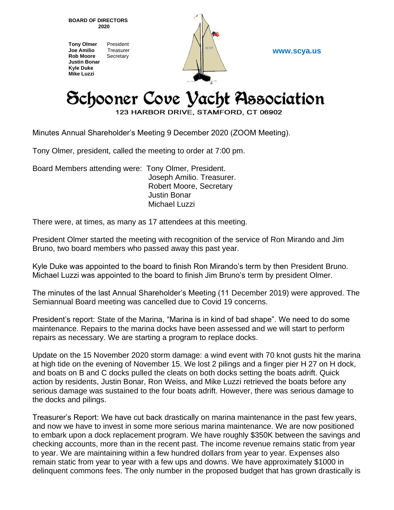**BOARD OF DIRECTORS 2020**

**Tony Olmer** President **Joe Amilio** Treasurer **Rob Moore** Secretary **Justin Bonar Kyle Duke Mike Luzzi**



**www.scya.us**

## Schooner Cove Yacht Association

123 HARBOR DRIVE, STAMFORD, CT 06902

Minutes Annual Shareholder's Meeting 9 December 2020 (ZOOM Meeting).

Tony Olmer, president, called the meeting to order at 7:00 pm.

Board Members attending were: Tony Olmer, President. Joseph Amilio. Treasurer. Robert Moore, Secretary Justin Bonar Michael Luzzi

There were, at times, as many as 17 attendees at this meeting.

President Olmer started the meeting with recognition of the service of Ron Mirando and Jim Bruno, two board members who passed away this past year.

Kyle Duke was appointed to the board to finish Ron Mirando's term by then President Bruno. Michael Luzzi was appointed to the board to finish Jim Bruno's term by president Olmer.

The minutes of the last Annual Shareholder's Meeting (11 December 2019) were approved. The Semiannual Board meeting was cancelled due to Covid 19 concerns.

President's report: State of the Marina, "Marina is in kind of bad shape". We need to do some maintenance. Repairs to the marina docks have been assessed and we will start to perform repairs as necessary. We are starting a program to replace docks.

Update on the 15 November 2020 storm damage: a wind event with 70 knot gusts hit the marina at high tide on the evening of November 15. We lost 2 pilings and a finger pier H 27 on H dock, and boats on B and C docks pulled the cleats on both docks setting the boats adrift. Quick action by residents, Justin Bonar, Ron Weiss, and Mike Luzzi retrieved the boats before any serious damage was sustained to the four boats adrift. However, there was serious damage to the docks and pilings.

Treasurer's Report: We have cut back drastically on marina maintenance in the past few years, and now we have to invest in some more serious marina maintenance. We are now positioned to embark upon a dock replacement program. We have roughly \$350K between the savings and checking accounts, more than in the recent past. The income revenue remains static from year to year. We are maintaining within a few hundred dollars from year to year. Expenses also remain static from year to year with a few ups and downs. We have approximately \$1000 in delinquent commons fees. The only number in the proposed budget that has grown drastically is